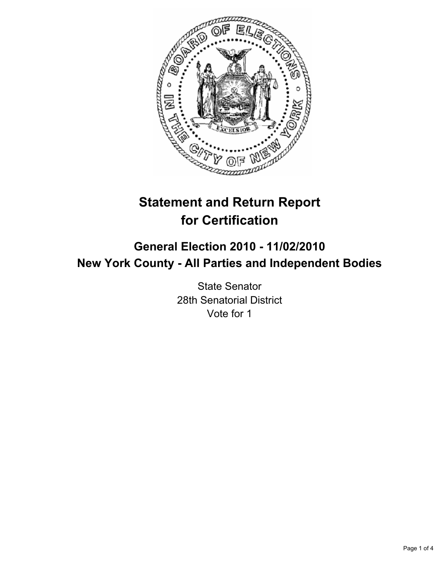

# **Statement and Return Report for Certification**

# **General Election 2010 - 11/02/2010 New York County - All Parties and Independent Bodies**

State Senator 28th Senatorial District Vote for 1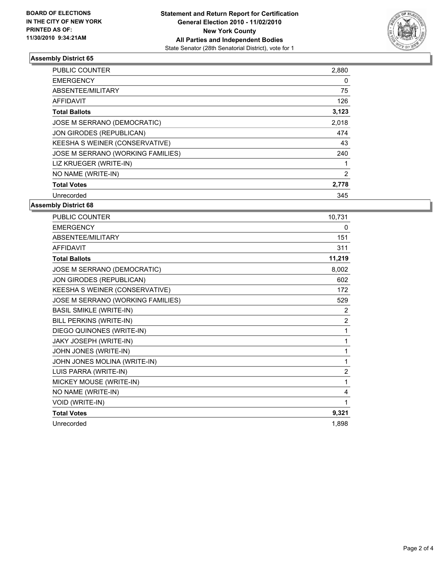

## **Assembly District 65**

| <b>PUBLIC COUNTER</b>             | 2,880 |
|-----------------------------------|-------|
| <b>EMERGENCY</b>                  | 0     |
| ABSENTEE/MILITARY                 | 75    |
| <b>AFFIDAVIT</b>                  | 126   |
| <b>Total Ballots</b>              | 3,123 |
| JOSE M SERRANO (DEMOCRATIC)       | 2,018 |
| JON GIRODES (REPUBLICAN)          | 474   |
| KEESHA S WEINER (CONSERVATIVE)    | 43    |
| JOSE M SERRANO (WORKING FAMILIES) | 240   |
| LIZ KRUEGER (WRITE-IN)            | 1     |
| NO NAME (WRITE-IN)                | 2     |
| <b>Total Votes</b>                | 2,778 |
| Unrecorded                        | 345   |

**Assembly District 68**

| <b>PUBLIC COUNTER</b>             | 10,731         |
|-----------------------------------|----------------|
| <b>EMERGENCY</b>                  | 0              |
| ABSENTEE/MILITARY                 | 151            |
| <b>AFFIDAVIT</b>                  | 311            |
| <b>Total Ballots</b>              | 11,219         |
| JOSE M SERRANO (DEMOCRATIC)       | 8,002          |
| JON GIRODES (REPUBLICAN)          | 602            |
| KEESHA S WEINER (CONSERVATIVE)    | 172            |
| JOSE M SERRANO (WORKING FAMILIES) | 529            |
| <b>BASIL SMIKLE (WRITE-IN)</b>    | 2              |
| BILL PERKINS (WRITE-IN)           | $\overline{2}$ |
| DIEGO QUINONES (WRITE-IN)         | 1              |
| JAKY JOSEPH (WRITE-IN)            | $\mathbf{1}$   |
| JOHN JONES (WRITE-IN)             | 1              |
| JOHN JONES MOLINA (WRITE-IN)      | 1              |
| LUIS PARRA (WRITE-IN)             | $\overline{2}$ |
| MICKEY MOUSE (WRITE-IN)           | 1              |
| NO NAME (WRITE-IN)                | 4              |
| <b>VOID (WRITE-IN)</b>            | 1              |
| <b>Total Votes</b>                | 9,321          |
| Unrecorded                        | 1,898          |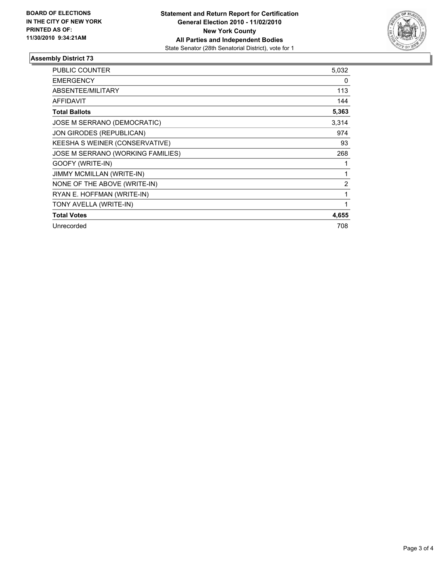

### **Assembly District 73**

| <b>PUBLIC COUNTER</b>             | 5,032 |
|-----------------------------------|-------|
| <b>EMERGENCY</b>                  | 0     |
| ABSENTEE/MILITARY                 | 113   |
| <b>AFFIDAVIT</b>                  | 144   |
| <b>Total Ballots</b>              | 5,363 |
| JOSE M SERRANO (DEMOCRATIC)       | 3,314 |
| JON GIRODES (REPUBLICAN)          | 974   |
| KEESHA S WEINER (CONSERVATIVE)    | 93    |
| JOSE M SERRANO (WORKING FAMILIES) | 268   |
| GOOFY (WRITE-IN)                  | 1     |
| <b>JIMMY MCMILLAN (WRITE-IN)</b>  | 1     |
| NONE OF THE ABOVE (WRITE-IN)      | 2     |
| RYAN E. HOFFMAN (WRITE-IN)        | 1     |
| TONY AVELLA (WRITE-IN)            | 1     |
| <b>Total Votes</b>                | 4,655 |
| Unrecorded                        | 708   |